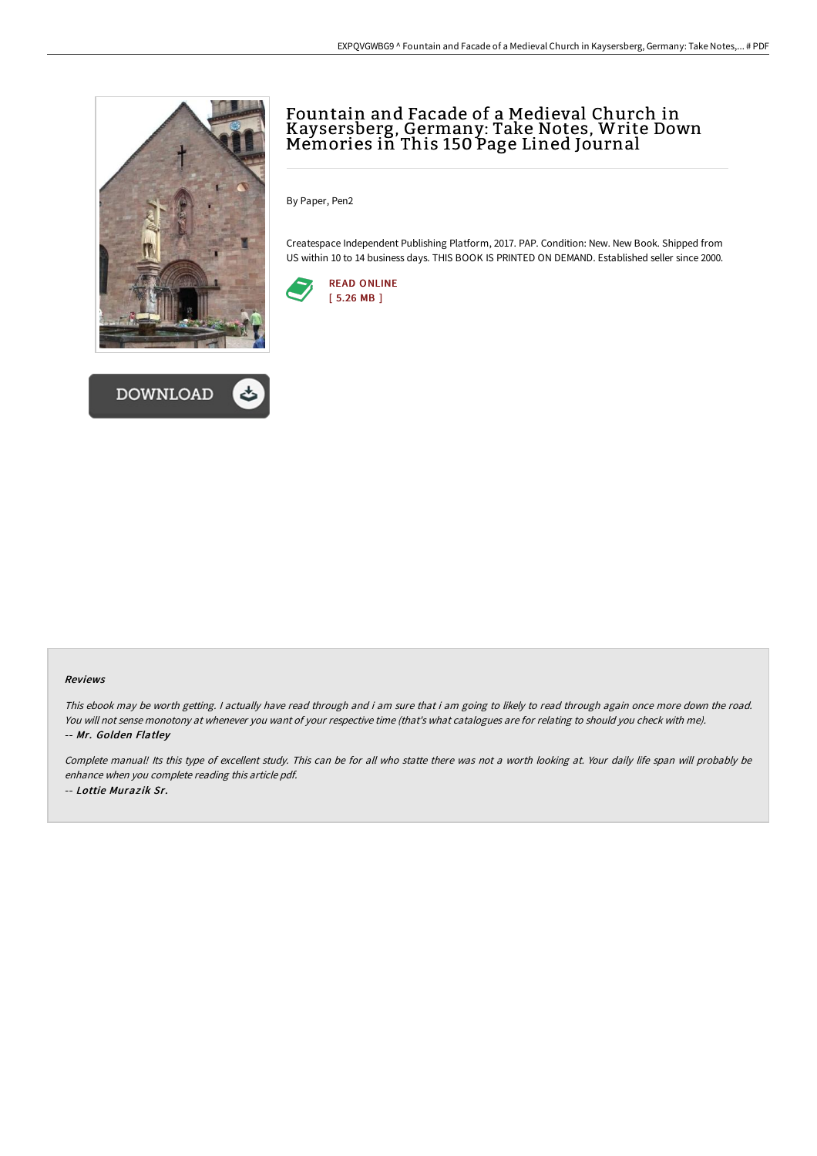



# Fountain and Facade of a Medieval Church in Kaysersberg, Germany: Take Notes, Write Down Memories in This 150 Page Lined Journal

By Paper, Pen2

Createspace Independent Publishing Platform, 2017. PAP. Condition: New. New Book. Shipped from US within 10 to 14 business days. THIS BOOK IS PRINTED ON DEMAND. Established seller since 2000.



#### Reviews

This ebook may be worth getting. I actually have read through and i am sure that i am going to likely to read through again once more down the road. You will not sense monotony at whenever you want of your respective time (that's what catalogues are for relating to should you check with me). -- Mr. Golden Flatley

Complete manual! Its this type of excellent study. This can be for all who statte there was not <sup>a</sup> worth looking at. Your daily life span will probably be enhance when you complete reading this article pdf. -- Lottie Murazik Sr.